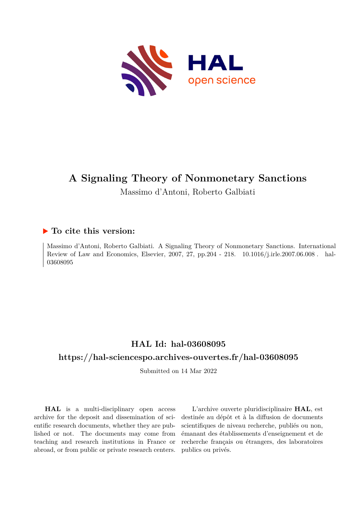

# **A Signaling Theory of Nonmonetary Sanctions**

Massimo d'Antoni, Roberto Galbiati

# **To cite this version:**

Massimo d'Antoni, Roberto Galbiati. A Signaling Theory of Nonmonetary Sanctions. International Review of Law and Economics, Elsevier, 2007, 27, pp.204 - 218. 10.1016/j.irle.2007.06.008. hal-03608095

# **HAL Id: hal-03608095**

# **<https://hal-sciencespo.archives-ouvertes.fr/hal-03608095>**

Submitted on 14 Mar 2022

**HAL** is a multi-disciplinary open access archive for the deposit and dissemination of scientific research documents, whether they are published or not. The documents may come from teaching and research institutions in France or abroad, or from public or private research centers.

L'archive ouverte pluridisciplinaire **HAL**, est destinée au dépôt et à la diffusion de documents scientifiques de niveau recherche, publiés ou non, émanant des établissements d'enseignement et de recherche français ou étrangers, des laboratoires publics ou privés.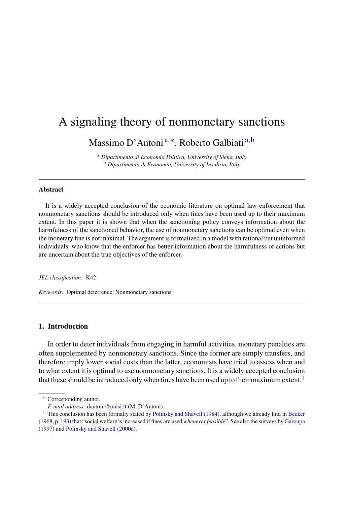# A signaling theory of nonmonetary sanctions

Massimo D'Antoni<sup>a,∗</sup>, Roberto Galbiati<sup>a,b</sup>

<sup>a</sup> *Dipartimento di Economia Politica, University of Siena, Italy* <sup>b</sup> *Dipartimento di Economia, University of Insubria, Italy*

## **Abstract**

It is a widely accepted conclusion of the economic literature on optimal law enforcement that nonmonetary sanctions should be introduced only when fines have been used up to their maximum extent. In this paper it is shown that when the sanctioning policy conveys information about the harmfulness of the sanctioned behavior, the use of nonmonetary sanctions can be optimal even when the monetary fine is not maximal. The argument isformalized in a model with rational but uninformed individuals, who know that the enforcer has better information about the harmfulness of actions but are uncertain about the true objectives of the enforcer.

*JEL classification:* K42

*Keywords:* Optimal deterrence; Nonmonetary sanctions

# **1. Introduction**

In order to deter individuals from engaging in harmful activities, monetary penalties are often supplemented by nonmonetary sanctions. Since the former are simply transfers, and therefore imply lower social costs than the latter, economists have tried to assess when and to what extent it is optimal to use nonmonetary sanctions. It is a widely accepted conclusion that these should be introduced only when fines have been used up to their maximum extent.<sup>1</sup>

<sup>∗</sup> Corresponding author.

*E-mail address:* [dantoni@unisi.it](mailto:dantoni@unisi.it) (M. D'Antoni).

<sup>&</sup>lt;sup>1</sup> This conclusion has been formally stated by Polinsky and Shavell (1984), although we already find in Becker (1968, p. 193) that "social welfare is increased if fines are used *whenever feasible*". See also the surveys by Garoupa (1997) and Polinsky and Shavell (2000a).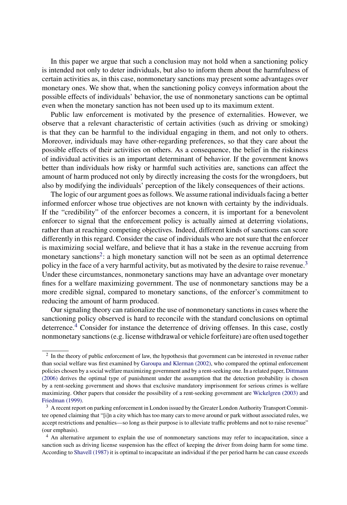In this paper we argue that such a conclusion may not hold when a sanctioning policy is intended not only to deter individuals, but also to inform them about the harmfulness of certain activities as, in this case, nonmonetary sanctions may present some advantages over monetary ones. We show that, when the sanctioning policy conveys information about the possible effects of individuals' behavior, the use of nonmonetary sanctions can be optimal even when the monetary sanction has not been used up to its maximum extent.

Public law enforcement is motivated by the presence of externalities. However, we observe that a relevant characteristic of certain activities (such as driving or smoking) is that they can be harmful to the individual engaging in them, and not only to others. Moreover, individuals may have other-regarding preferences, so that they care about the possible effects of their activities on others. As a consequence, the belief in the riskiness of individual activities is an important determinant of behavior. If the government knows better than individuals how risky or harmful such activities are, sanctions can affect the amount of harm produced not only by directly increasing the costs for the wrongdoers, but also by modifying the individuals' perception of the likely consequences of their actions.

The logic of our argument goes as follows. We assume rational individuals facing a better informed enforcer whose true objectives are not known with certainty by the individuals. If the "credibility" of the enforcer becomes a concern, it is important for a benevolent enforcer to signal that the enforcement policy is actually aimed at deterring violations, rather than at reaching competing objectives. Indeed, different kinds of sanctions can score differently in this regard. Consider the case of individuals who are not sure that the enforcer is maximizing social welfare, and believe that it has a stake in the revenue accruing from monetary sanctions<sup>2</sup>: a high monetary sanction will not be seen as an optimal deterrence policy in the face of a very harmful activity, but as motivated by the desire to raise revenue.<sup>3</sup> Under these circumstances, nonmonetary sanctions may have an advantage over monetary fines for a welfare maximizing government. The use of nonmonetary sanctions may be a more credible signal, compared to monetary sanctions, of the enforcer's commitment to reducing the amount of harm produced.

Our signaling theory can rationalize the use of nonmonetary sanctions in cases where the sanctioning policy observed is hard to reconcile with the standard conclusions on optimal deterrence.<sup>4</sup> Consider for instance the deterrence of driving offenses. In this case, costly nonmonetary sanctions (e.g. license withdrawal or vehicle forfeiture) are often used together

<sup>&</sup>lt;sup>2</sup> In the theory of public enforcement of law, the hypothesis that government can be interested in revenue rather than social welfare was first examined by Garoupa and Klerman (2002), who compared the optimal enforcement policies chosen by a social welfare maximizing government and by a rent-seeking one. In a related paper, Dittmann (2006) derives the optimal type of punishment under the assumption that the detection probability is chosen by a rent-seeking government and shows that exclusive mandatory imprisonment for serious crimes is welfare maximizing. Other papers that consider the possibility of a rent-seeking government are Wickelgren (2003) and Friedman (1999).

<sup>&</sup>lt;sup>3</sup> A recent report on parking enforcement in London issued by the Greater London Authority Transport Committee opened claiming that "[i]n a city which has too many cars to move around or park without associated rules, we accept restrictions and penalties—so long as their purpose is to alleviate traffic problems and not to raise revenue" (our emphasis).

<sup>&</sup>lt;sup>4</sup> An alternative argument to explain the use of nonmonetary sanctions may refer to incapacitation, since a sanction such as driving license suspension has the effect of keeping the driver from doing harm for some time. According to Shavell (1987) it is optimal to incapacitate an individual if the per period harm he can cause exceeds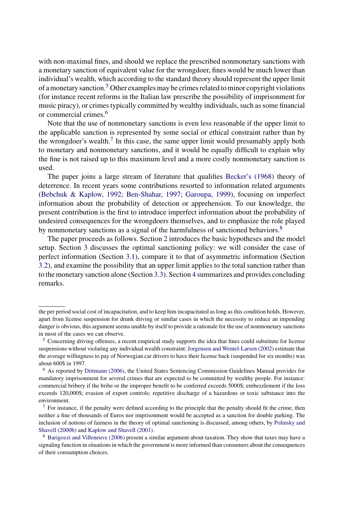with non-maximal fines, and should we replace the prescribed nonmonetary sanctions with a monetary sanction of equivalent value for the wrongdoer, fines would be much lower than individual's wealth, which according to the standard theory should represent the upper limit of a monetary sanction.<sup>5</sup> Other examples may be crimes related to minor copyright violations (for instance recent reforms in the Italian law prescribe the possibility of imprisonment for music piracy), or crimes typically committed by wealthy individuals, such as some financial or commercial crimes.<sup>6</sup>

Note that the use of nonmonetary sanctions is even less reasonable if the upper limit to the applicable sanction is represented by some social or ethical constraint rather than by the wrongdoer's wealth.<sup>7</sup> In this case, the same upper limit would presumably apply both to monetary and nonmonetary sanctions, and it would be equally difficult to explain why the fine is not raised up to this maximum level and a more costly nonmonetary sanction is used.

The paper joins a large stream of literature that qualifies Becker's (1968) theory of deterrence. In recent years some contributions resorted to information related arguments (Bebchuk & Kaplow, 1992; Ben-Shahar, 1997; Garoupa, 1999), focusing on imperfect information about the probability of detection or apprehension. To our knowledge, the present contribution is the first to introduce imperfect information about the probability of undesired consequences for the wrongdoers themselves, and to emphasize the role played by nonmonetary sanctions as a signal of the harmfulness of sanctioned behaviors.<sup>8</sup>

The paper proceeds as follows. Section 2 introduces the basic hypotheses and the model setup. Section 3 discusses the optimal sanctioning policy: we will consider the case of perfect information (Section 3.1), compare it to that of asymmetric information (Section 3.2), and examine the possibility that an upper limit applies to the total sanction rather than to the monetary sanction alone (Section 3.3). Section 4 summarizes and provides concluding remarks.

the per period social cost of incapacitation, and to keep him incapacitated as long as this condition holds. However, apart from license suspension for drunk driving or similar cases in which the necessity to reduce an impending danger is obvious, this argument seems unable by itself to provide a rationale for the use of nonmonetary sanctions in most of the cases we can observe.

<sup>5</sup> Concerning driving offenses, a recent empirical study supports the idea that fines could substitute for license suspensions without violating any individual wealth constraint: Jorgensen and Wentel-Larsen (2002) estimate that the average willingness to pay of Norwegian car drivers to have their license back (suspended for six months) was about 600\$ in 1997.

<sup>6</sup> As reported by Dittmann (2006), the United States Sentencing Commission Guidelines Manual provides for mandatory imprisonment for several crimes that are expected to be committed by wealthy people. For instance: commercial bribery if the bribe or the improper benefit to be conferred exceeds 5000\$; embezzlement if the loss exceeds 120,000\$; evasion of export controls; repetitive discharge of a hazardous or toxic substance into the environment.

<sup>&</sup>lt;sup>7</sup> For instance, if the penalty were defined according to the principle that the penalty should fit the crime, then neither a fine of thousands of Euros nor imprisonment would be accepted as a sanction for double parking. The inclusion of notions of fairness in the theory of optimal sanctioning is discussed, among others, by Polinsky and Shavell (2000b) and Kaplow and Shavell (2001).

<sup>8</sup> Barigozzi and Villeneuve (2006) present a similar argument about taxation. They show that taxes may have a signaling function in situations in which the government is more informed than consumers about the consequences of their consumption choices.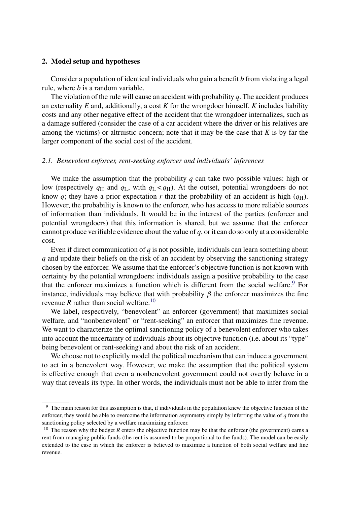#### **2. Model setup and hypotheses**

Consider a population of identical individuals who gain a benefit *b* from violating a legal rule, where *b* is a random variable.

The violation of the rule will cause an accident with probability *q*. The accident produces an externality *E* and, additionally, a cost *K* for the wrongdoer himself. *K* includes liability costs and any other negative effect of the accident that the wrongdoer internalizes, such as a damage suffered (consider the case of a car accident where the driver or his relatives are among the victims) or altruistic concern; note that it may be the case that  $K$  is by far the larger component of the social cost of the accident.

# *2.1. Benevolent enforcer, rent-seeking enforcer and individuals' inferences*

We make the assumption that the probability *q* can take two possible values: high or low (respectively  $q_H$  and  $q_L$ , with  $q_L < q_H$ ). At the outset, potential wrongdoers do not know  $q$ ; they have a prior expectation  $r$  that the probability of an accident is high  $(q_H)$ . However, the probability is known to the enforcer, who has access to more reliable sources of information than individuals. It would be in the interest of the parties (enforcer and potential wrongdoers) that this information is shared, but we assume that the enforcer cannot produce verifiable evidence about the value of *q*, or it can do so only at a considerable cost.

Even if direct communication of *q* is not possible, individuals can learn something about *q* and update their beliefs on the risk of an accident by observing the sanctioning strategy chosen by the enforcer. We assume that the enforcer's objective function is not known with certainty by the potential wrongdoers: individuals assign a positive probability to the case that the enforcer maximizes a function which is different from the social welfare.<sup>9</sup> For instance, individuals may believe that with probability  $\beta$  the enforcer maximizes the fine revenue *R* rather than social welfare.<sup>10</sup>

We label, respectively, "benevolent" an enforcer (government) that maximizes social welfare, and "nonbenevolent" or "rent-seeking" an enforcer that maximizes fine revenue. We want to characterize the optimal sanctioning policy of a benevolent enforcer who takes into account the uncertainty of individuals about its objective function (i.e. about its "type" being benevolent or rent-seeking) and about the risk of an accident.

We choose not to explicitly model the political mechanism that can induce a government to act in a benevolent way. However, we make the assumption that the political system is effective enough that even a nonbenevolent government could not overtly behave in a way that reveals its type. In other words, the individuals must not be able to infer from the

<sup>&</sup>lt;sup>9</sup> The main reason for this assumption is that, if individuals in the population knew the objective function of the enforcer, they would be able to overcome the information asymmetry simply by inferring the value of *q* from the sanctioning policy selected by a welfare maximizing enforcer.

<sup>&</sup>lt;sup>10</sup> The reason why the budget  $R$  enters the objective function may be that the enforcer (the government) earns a rent from managing public funds (the rent is assumed to be proportional to the funds). The model can be easily extended to the case in which the enforcer is believed to maximize a function of both social welfare and fine revenue.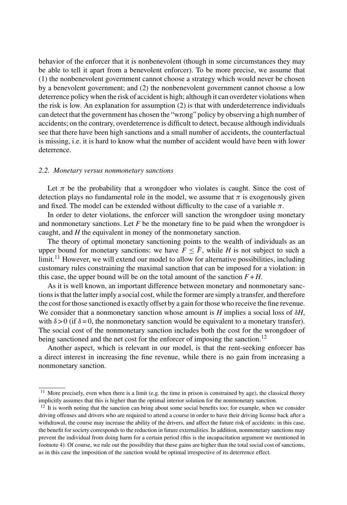behavior of the enforcer that it is nonbenevolent (though in some circumstances they may be able to tell it apart from a benevolent enforcer). To be more precise, we assume that (1) the nonbenevolent government cannot choose a strategy which would never be chosen by a benevolent government; and (2) the nonbenevolent government cannot choose a low deterrence policy when the risk of accident is high; although it can overdeter violations when the risk is low. An explanation for assumption (2) is that with underdeterrence individuals can detect that the government has chosen the "wrong" policy by observing a high number of accidents; on the contrary, overdeterrence is difficult to detect, because although individuals see that there have been high sanctions and a small number of accidents, the counterfactual is missing, i.e. it is hard to know what the number of accident would have been with lower deterrence.

## *2.2. Monetary versus nonmonetary sanctions*

Let  $\pi$  be the probability that a wrongdoer who violates is caught. Since the cost of detection plays no fundamental role in the model, we assume that  $\pi$  is exogenously given and fixed. The model can be extended without difficulty to the case of a variable  $\pi$ .

In order to deter violations, the enforcer will sanction the wrongdoer using monetary and nonmonetary sanctions. Let *F* be the monetary fine to be paid when the wrongdoer is caught, and *H* the equivalent in money of the nonmonetary sanction.

The theory of optimal monetary sanctioning points to the wealth of individuals as an upper bound for monetary sanctions: we have  $F \leq \overline{F}$ , while *H* is not subject to such a  $\lim_{h \to 1}$  However, we will extend our model to allow for alternative possibilities, including customary rules constraining the maximal sanction that can be imposed for a violation: in this case, the upper bound will be on the total amount of the sanction  $F + H$ .

As it is well known, an important difference between monetary and nonmonetary sanctions is that the latter imply a social cost, while the former are simply a transfer, and therefore the cost for those sanctioned is exactly offset by a gain for those who receive the fine revenue. We consider that a nonmonetary sanction whose amount is *H* implies a social loss of  $\delta H$ , with  $\delta > 0$  (if  $\delta = 0$ , the nonmonetary sanction would be equivalent to a monetary transfer) with  $\delta > 0$  (if  $\delta = 0$ , the nonmonetary sanction would be equivalent to a monetary transfer).<br>The social cost of the nonmonetary sanction includes both the cost for the wrongdoer of The social cost of the nonmonetary sanction includes both the cost for the wrongdoer of being sanctioned and the net cost for the enforcer of imposing the sanction.<sup>12</sup>

Another aspect, which is relevant in our model, is that the rent-seeking enforcer has a direct interest in increasing the fine revenue, while there is no gain from increasing a nonmonetary sanction.

 $11$  More precisely, even when there is a limit (e.g. the time in prison is constrained by age), the classical theory implicitly assumes that this is higher than the optimal interior solution for the nonmonetary sanction.

<sup>&</sup>lt;sup>12</sup> It is worth noting that the sanction can bring about some social benefits too; for example, when we consider driving offenses and drivers who are required to attend a course in order to have their driving license back after a withdrawal, the course may increase the ability of the drivers, and affect the future risk of accidents: in this case, the benefit for society corresponds to the reduction in future externalities. In addition, nonmonetary sanctions may prevent the individual from doing harm for a certain period (this is the incapacitation argument we mentioned in footnote 4). Of course, we rule out the possibility that these gains are higher than the total social cost of sanctions, as in this case the imposition of the sanction would be optimal irrespective of its deterrence effect.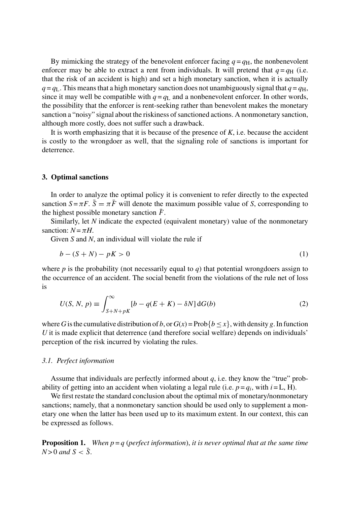By mimicking the strategy of the benevolent enforcer facing  $q = q<sub>H</sub>$ , the nonbenevolent enforcer may be able to extract a rent from individuals. It will pretend that  $q = q<sub>H</sub>$  (i.e. that the risk of an accident is high) and set a high monetary sanction, when it is actually  $q = q_L$ . This means that a high monetary sanction does not unambiguously signal that  $q = q_H$ , since it may well be compatible with  $q = q_L$  and a nonbenevolent enforcer. In other words, the possibility that the enforcer is rent-seeking rather than benevolent makes the monetary sanction a "noisy" signal about the riskiness of sanctioned actions. A nonmonetary sanction, although more costly, does not suffer such a drawback.

It is worth emphasizing that it is because of the presence of *K*, i.e. because the accident is costly to the wrongdoer as well, that the signaling role of sanctions is important for deterrence.

# **3. Optimal sanctions**

In order to analyze the optimal policy it is convenient to refer directly to the expected sanction  $S = \pi F$ .  $\overline{S} = \pi \overline{F}$  will denote the maximum possible value of *S*, corresponding to the highest possible monetary sanction  $\bar{F}$ .

Similarly, let *N* indicate the expected (equivalent monetary) value of the nonmonetary sanction:  $N = \pi H$ .

Given *S* and *N*, an individual will violate the rule if

$$
b - (S + N) - pK > 0 \tag{1}
$$

where  $p$  is the probability (not necessarily equal to  $q$ ) that potential wrongdoers assign to the occurrence of an accident. The social benefit from the violations of the rule net of loss is

$$
U(S, N, p) \equiv \int_{S+N+pK}^{\infty} [b - q(E+K) - \delta N] dG(b)
$$
 (2)

where *G* is the cumulative distribution of *b*, or  $G(x) = \text{Prob}\{b \leq x\}$ , with density *g*. In function *U* it is made explicit that deterrence (and therefore social welfare) depends on individuals' perception of the risk incurred by violating the rules.

# *3.1. Perfect information*

Assume that individuals are perfectly informed about *q*, i.e. they know the "true" probability of getting into an accident when violating a legal rule (i.e.  $p = q_i$ , with  $i = L$ , H).

We first restate the standard conclusion about the optimal mix of monetary/nonmonetary sanctions; namely, that a nonmonetary sanction should be used only to supplement a monetary one when the latter has been used up to its maximum extent. In our context, this can be expressed as follows.

**Proposition 1.** *When*  $p = q$  *(perfect information), it is never optimal that at the same time*  $N > 0$  and  $S < \overline{S}$ .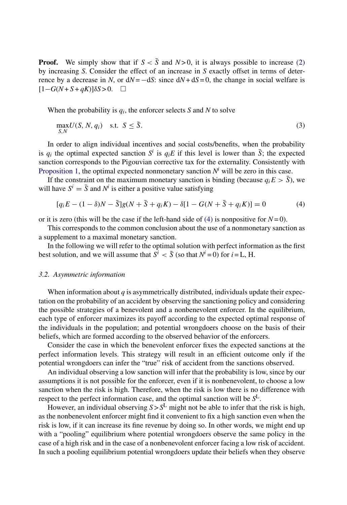**Proof.** We simply show that if  $S < \overline{S}$  and  $N > 0$ , it is always possible to increase (2) by increasing *S*. Consider the effect of an increase in *S* exactly offset in terms of deterrence by a decrease in *N*, or  $dN = -dS$ : since  $dN + dS = 0$ , the change in social welfare is  $[1-G(N+S+qK)]\delta S > 0.$  □

When the probability is  $q_i$ , the enforcer selects *S* and *N* to solve

$$
\max_{S,N} U(S, N, q_i) \quad \text{s.t.} \quad S \le \bar{S}. \tag{3}
$$

In order to align individual incentives and social costs/benefits, when the probability is  $q_i$  the optimal expected sanction  $S^i$  is  $q_iE$  if this level is lower than  $\overline{S}$ ; the expected sanction corresponds to the Pigouvian corrective tax for the externality. Consistently with Proposition 1, the optimal expected nonmonetary sanction  $N<sup>i</sup>$  will be zero in this case.

If the constraint on the maximum monetary sanction is binding (because  $q_iE > \bar{S}$ ), we will have  $S^i = \overline{S}$  and  $N^i$  is either a positive value satisfying

$$
[q_i E - (1 - \delta)N - \bar{S}]g(N + \bar{S} + q_i K) - \delta[1 - G(N + \bar{S} + q_i K)] = 0
$$
\n(4)

or it is zero (this will be the case if the left-hand side of  $(4)$  is nonpositive for  $N=0$ ).

This corresponds to the common conclusion about the use of a nonmonetary sanction as a supplement to a maximal monetary sanction.

In the following we will refer to the optimal solution with perfect information as the first best solution, and we will assume that  $S^i < \overline{S}$  (so that  $N^i = 0$ ) for  $i = L$ , H.

#### *3.2. Asymmetric information*

When information about *q* is asymmetrically distributed, individuals update their expectation on the probability of an accident by observing the sanctioning policy and considering the possible strategies of a benevolent and a nonbenevolent enforcer. In the equilibrium, each type of enforcer maximizes its payoff according to the expected optimal response of the individuals in the population; and potential wrongdoers choose on the basis of their beliefs, which are formed according to the observed behavior of the enforcers.

Consider the case in which the benevolent enforcer fixes the expected sanctions at the perfect information levels. This strategy will result in an efficient outcome only if the potential wrongdoers can infer the "true" risk of accident from the sanctions observed.

An individual observing a low sanction will infer that the probability is low, since by our assumptions it is not possible for the enforcer, even if it is nonbenevolent, to choose a low sanction when the risk is high. Therefore, when the risk is low there is no difference with respect to the perfect information case, and the optimal sanction will be *S*L.

However, an individual observing  $S > S^L$  might not be able to infer that the risk is high, as the nonbenevolent enforcer might find it convenient to fix a high sanction even when the risk is low, if it can increase its fine revenue by doing so. In other words, we might end up with a "pooling" equilibrium where potential wrongdoers observe the same policy in the case of a high risk and in the case of a nonbenevolent enforcer facing a low risk of accident. In such a pooling equilibrium potential wrongdoers update their beliefs when they observe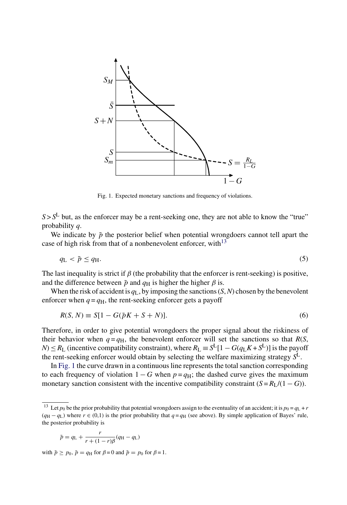

Fig. 1. Expected monetary sanctions and frequency of violations.

 $S > S<sup>L</sup>$  but, as the enforcer may be a rent-seeking one, they are not able to know the "true" probability *q*.

We indicate by  $\tilde{p}$  the posterior belief when potential wrongdoers cannot tell apart the case of high risk from that of a nonbenevolent enforcer, with<sup>13</sup>

$$
q_{\rm L} < \tilde{p} \le q_{\rm H}.\tag{5}
$$

The last inequality is strict if  $\beta$  (the probability that the enforcer is rent-seeking) is positive, and the difference between  $\tilde{p}$  and  $q_H$  is higher the higher  $\beta$  is.

When the risk of accident is  $q_L$ , by imposing the sanctions  $(S, N)$  chosen by the benevolent enforcer when  $q = q<sub>H</sub>$ , the rent-seeking enforcer gets a payoff

$$
R(S, N) \equiv S[1 - G(\tilde{p}K + S + N)].
$$
\n<sup>(6)</sup>

Therefore, in order to give potential wrongdoers the proper signal about the riskiness of their behavior when  $q = q_H$ , the benevolent enforcer will set the sanctions so that  $R(S)$ , *N*) ≤ *R*<sub>L</sub> (incentive compatibility constraint), where  $R_L$  ≡  $S^L[1 - G(q_LK + S^L)]$  is the payoff the rent-seeking enforcer would obtain by selecting the welfare maximizing strategy  $S^L$ .

In Fig. 1 the curve drawn in a continuous line represents the total sanction corresponding to each frequency of violation  $1 - G$  when  $p = q_H$ ; the dashed curve gives the maximum monetary sanction consistent with the incentive compatibility constraint  $(S = R_L/(1 - G))$ .

$$
\tilde{p} = q_{\rm L} + \frac{r}{r + (1 - r)\beta}(q_{\rm H} - q_{\rm L})
$$

with  $\tilde{p} \ge p_0$ ,  $\tilde{p} = q_H$  for  $\beta = 0$  and  $\tilde{p} = p_0$  for  $\beta = 1$ .

<sup>&</sup>lt;sup>13</sup> Let  $p_0$  be the prior probability that potential wrongdoers assign to the eventuality of an accident; it is  $p_0 = q_L + r$  $(q_H - q_L)$  where  $r \in (0,1)$  is the prior probability that  $q = q_H$  (see above). By simple application of Bayes' rule, the posterior probability is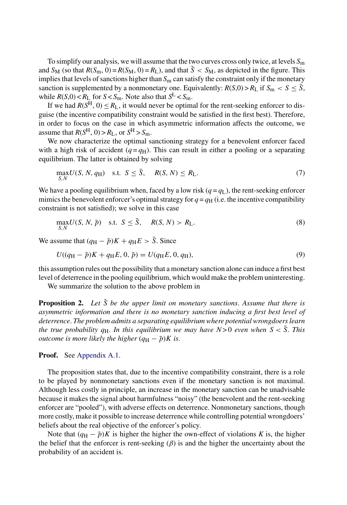To simplify our analysis, we will assume that the two curves cross only twice, at levels  $S<sub>m</sub>$ and  $S_M$  (so that  $R(S_m, 0) = R(S_M, 0) = R_L$ ), and that  $\tilde{S} < S_M$ , as depicted in the figure. This implies that levels of sanctions higher than  $S<sub>m</sub>$  can satisfy the constraint only if the monetary sanction is supplemented by a nonmonetary one. Equivalently:  $R(S,0) > R_L$  if  $S_m < S \leq \overline{S}$ , while  $R(S,0) < R_L$  for  $S < S_m$ . Note also that  $S^L < S_m$ .

If we had  $R(S^H, 0) \le R_L$ , it would never be optimal for the rent-seeking enforcer to disguise (the incentive compatibility constraint would be satisfied in the first best). Therefore, in order to focus on the case in which asymmetric information affects the outcome, we assume that  $R(S^H, 0) > R_L$ , or  $S^H > S_m$ .

We now characterize the optimal sanctioning strategy for a benevolent enforcer faced with a high risk of accident  $(q = q_H)$ . This can result in either a pooling or a separating equilibrium. The latter is obtained by solving

$$
\max_{S,N} U(S, N, q_{\rm H}) \quad \text{s.t.} \quad S \le \bar{S}, \quad R(S, N) \le R_{\rm L}. \tag{7}
$$

We have a pooling equilibrium when, faced by a low risk ( $q = q_L$ ), the rent-seeking enforcer mimics the benevolent enforcer's optimal strategy for  $q = q_H$  (i.e. the incentive compatibility constraint is not satisfied); we solve in this case

$$
\max_{S,N} U(S, N, \tilde{p}) \quad \text{s.t.} \quad S \le \tilde{S}, \quad R(S, N) > R_{\text{L}}.
$$
\n
$$
(8)
$$

We assume that  $(q_H - \tilde{p})K + q_H E > \overline{S}$ . Since

$$
U((q_{\rm H} - \tilde{p})K + q_{\rm H}E, 0, \tilde{p}) = U(q_{\rm H}E, 0, q_{\rm H}),
$$
\n(9)

this assumption rules out the possibility that a monetary sanction alone can induce a first best level of deterrence in the pooling equilibrium, which would make the problem uninteresting.

We summarize the solution to the above problem in

**Proposition 2.** Let  $\bar{S}$  be the upper limit on monetary sanctions. Assume that there is *asymmetric information and there is no monetary sanction inducing a first best level of deterrence*. *The problem admits a separating equilibrium where potential wrongdoers learn the true probability q*H. *In this equilibrium we may have*  $N > 0$  *even when*  $S < \overline{S}$ . *This outcome is more likely the higher*  $(q_H - \tilde{p})K$  *is.* 

## **Proof.** See Appendix A.1.

S,N

The proposition states that, due to the incentive compatibility constraint, there is a role to be played by nonmonetary sanctions even if the monetary sanction is not maximal. Although less costly in principle, an increase in the monetary sanction can be unadvisable because it makes the signal about harmfulness "noisy" (the benevolent and the rent-seeking enforcer are "pooled"), with adverse effects on deterrence. Nonmonetary sanctions, though more costly, make it possible to increase deterrence while controlling potential wrongdoers' beliefs about the real objective of the enforcer's policy.

Note that  $(q_H - \tilde{p})K$  is higher the higher the own-effect of violations K is, the higher the belief that the enforcer is rent-seeking  $(\beta)$  is and the higher the uncertainty about the probability of an accident is.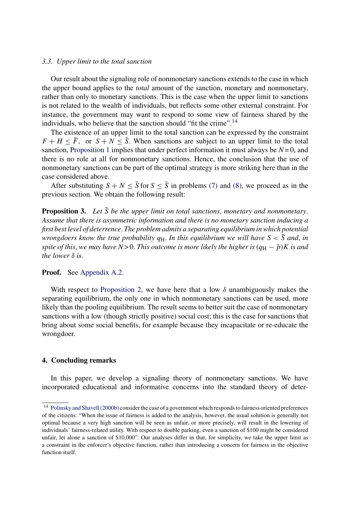#### *3.3. Upper limit to the total sanction*

Our result about the signaling role of nonmonetary sanctions extends to the case in which the upper bound applies to the *total* amount of the sanction, monetary and nonmonetary, rather than only to monetary sanctions. This is the case when the upper limit to sanctions is not related to the wealth of individuals, but reflects some other external constraint. For instance, the government may want to respond to some view of fairness shared by the individuals, who believe that the sanction should "fit the crime".<sup>14</sup>

The existence of an upper limit to the total sanction can be expressed by the constraint  $F + H \leq \overline{F}$ , or  $S + N \leq \overline{S}$ . When sanctions are subject to an upper limit to the total sanction, Proposition 1 implies that under perfect information it must always be  $N=0$ , and there is no role at all for nonmonetary sanctions. Hence, the conclusion that the use of nonmonetary sanctions can be part of the optimal strategy is more striking here than in the case considered above.

After substituting  $S + N \le \overline{S}$  for  $S \le \overline{S}$  in problems (7) and (8), we proceed as in the previous section. We obtain the following result:

**Proposition 3.** Let  $\overline{S}$  be the upper limit on total sanctions, monetary and nonmonetary. *Assume that there is asymmetric information and there is no monetary sanction inducing a first best level of deterrence*. *The problem admits a separating equilibrium in which potential wrongdoers know the true probability*  $q_H$ . *In this equilibrium we will have*  $S < \overline{S}$  *and, in spite of this, we may have N*>0. *This outcome is more likely the higher is*  $(q_H - \tilde{p})K$  *is and the lower* δ *is*.

#### **Proof.** See Appendix A.2.

With respect to Proposition 2, we have here that a low  $\delta$  unambiguously makes the separating equilibrium, the only one in which nonmonetary sanctions can be used, more likely than the pooling equilibrium. The result seems to better suit the case of nonmonetary sanctions with a low (though strictly positive) social cost; this is the case for sanctions that bring about some social benefits, for example because they incapacitate or re-educate the wrongdoer.

# **4. Concluding remarks**

In this paper, we develop a signaling theory of nonmonetary sanctions. We have incorporated educational and informative concerns into the standard theory of deter-

<sup>14</sup> Polinsky and Shavell (2000b) consider the case of a government which responds to fairness oriented preferences of the citizens: "When the issue of fairness is added to the analysis, however, the usual solution is generally not optimal because a very high sanction will be seen as unfair, or more precisely, will result in the lowering of individuals' fairness-related utility. With respect to double parking, even a sanction of \$100 might be considered unfair, let alone a sanction of \$10,000". Our analyses differ in that, for simplicity, we take the upper limit as a constraint in the enforcer's objective function, rather than introducing a concern for fairness in the objective function itself.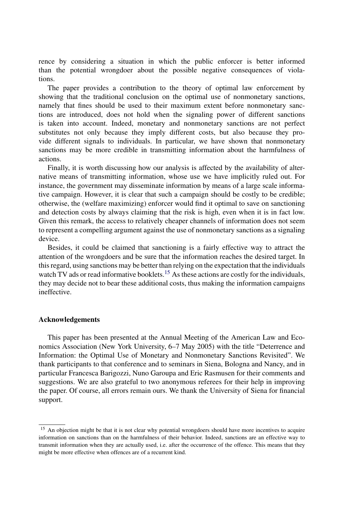rence by considering a situation in which the public enforcer is better informed than the potential wrongdoer about the possible negative consequences of violations.

The paper provides a contribution to the theory of optimal law enforcement by showing that the traditional conclusion on the optimal use of nonmonetary sanctions, namely that fines should be used to their maximum extent before nonmonetary sanctions are introduced, does not hold when the signaling power of different sanctions is taken into account. Indeed, monetary and nonmonetary sanctions are not perfect substitutes not only because they imply different costs, but also because they provide different signals to individuals. In particular, we have shown that nonmonetary sanctions may be more credible in transmitting information about the harmfulness of actions.

Finally, it is worth discussing how our analysis is affected by the availability of alternative means of transmitting information, whose use we have implicitly ruled out. For instance, the government may disseminate information by means of a large scale informative campaign. However, it is clear that such a campaign should be costly to be credible; otherwise, the (welfare maximizing) enforcer would find it optimal to save on sanctioning and detection costs by always claiming that the risk is high, even when it is in fact low. Given this remark, the access to relatively cheaper channels of information does not seem to represent a compelling argument against the use of nonmonetary sanctions as a signaling device.

Besides, it could be claimed that sanctioning is a fairly effective way to attract the attention of the wrongdoers and be sure that the information reaches the desired target. In this regard, using sanctions may be better than relying on the expectation that the individuals watch TV ads or read informative booklets.<sup>15</sup> As these actions are costly for the individuals, they may decide not to bear these additional costs, thus making the information campaigns ineffective.

# **Acknowledgements**

This paper has been presented at the Annual Meeting of the American Law and Economics Association (New York University, 6–7 May 2005) with the title "Deterrence and Information: the Optimal Use of Monetary and Nonmonetary Sanctions Revisited". We thank participants to that conference and to seminars in Siena, Bologna and Nancy, and in particular Francesca Barigozzi, Nuno Garoupa and Eric Rasmusen for their comments and suggestions. We are also grateful to two anonymous referees for their help in improving the paper. Of course, all errors remain ours. We thank the University of Siena for financial support.

<sup>&</sup>lt;sup>15</sup> An objection might be that it is not clear why potential wrongdoers should have more incentives to acquire information on sanctions than on the harmfulness of their behavior. Indeed, sanctions are an effective way to transmit information when they are actually used, i.e. after the occurrence of the offence. This means that they might be more effective when offences are of a recurrent kind.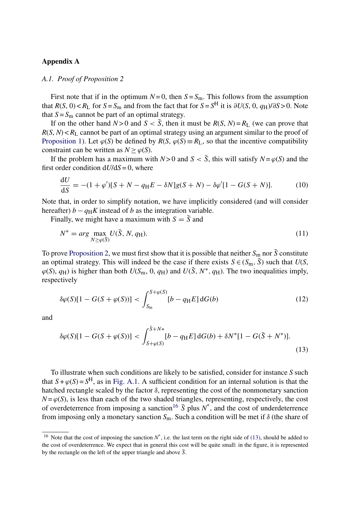# **Appendix A**

## *A.1. Proof of Proposition 2*

First note that if in the optimum  $N=0$ , then  $S=S_m$ . This follows from the assumption that  $R(S, 0) < R_L$  for  $S = S_m$  and from the fact that for  $S = S^H$  it is ∂*U*(*S*, 0, *q*H)/∂*S* > 0. Note that  $S = S_m$  cannot be part of an optimal strategy.

If on the other hand  $N > 0$  and  $S < \overline{S}$ , then it must be  $R(S, N) = R_L$  (we can prove that  $R(S, N) < R<sub>L</sub>$  cannot be part of an optimal strategy using an argument similar to the proof of Proposition 1). Let  $\varphi(S)$  be defined by  $R(S, \varphi(S) \equiv R_L)$ , so that the incentive compatibility constraint can be written as  $N > \varphi(S)$ .

If the problem has a maximum with  $N > 0$  and  $S < \overline{S}$ , this will satisfy  $N = \varphi(S)$  and the first order condition  $dU/dS = 0$ , where

$$
\frac{dU}{dS} = -(1 + \varphi')[S + N - q_{\rm H}E - \delta N]g(S + N) - \delta\varphi'[1 - G(S + N)].
$$
 (10)  
Note that, in order to simplify notation, we have implicitly considered (and will consider

hereafter)  $b - q_H K$  instead of *b* as the integration variable.

Finally, we might have a maximum with  $S = \overline{S}$  and

$$
N^* = \arg\max_{N \ge \varphi(\bar{S})} U(\bar{S}, N, q_{\rm H}).\tag{11}
$$

To prove Proposition 2, we must first show that it is possible that neither  $S_m$  nor  $\bar{S}$  constitute an optimal strategy. This will indeed be the case if there exists  $S \in (S_m, \overline{S})$  such that  $U(S, \overline{S})$  $\varphi(S), q_H$ ) is higher than both  $U(S_m, 0, q_H)$  and  $U(\bar{S}, N^*, q_H)$ . The two inequalities imply, respectively

$$
\delta \varphi(S)[1 - G(S + \varphi(S))] < \int_{S_{\rm m}}^{S + \varphi(S)} [b - q_{\rm H} E] \, \mathrm{d}G(b) \tag{12}
$$

and

$$
\delta\varphi(S)[1 - G(S + \varphi(S))] < \int_{S + \varphi(S)}^{\bar{S} + N*} [b - q_H E] \, \mathrm{d}G(b) + \delta N^*[1 - G(\bar{S} + N^*)].\tag{13}
$$

To illustrate when such conditions are likely to be satisfied, consider for instance *S* such that  $S + \varphi(S) = S^H$ , as in Fig. A.1. A sufficient condition for an internal solution is that the hatched rectangle scaled by the factor  $\delta$ , representing the cost of the nonmonetary sanction  $N = \varphi(S)$ , is less than each of the two shaded triangles, representing, respectively, the cost  $N = \varphi(S)$ , is less than each of the two shaded triangles, representing, respectively, the cost of *overdeterrence* from imposing a sanction<sup>16</sup>  $\bar{S}$  plus  $N^*$  and the cost of underdeterrence of overdeterrence from imposing a sanction<sup>16</sup>  $\overline{S}$  plus  $N^*$ , and the cost of underdeterrence<br>from imposing only a monetary sanction  $S_+$ . Such a condition will be met if  $\delta$  (the share of from imposing only a monetary sanction *<sup>S</sup>*m. Such a condition will be met if <sup>δ</sup> (the share of

<sup>&</sup>lt;sup>16</sup> Note that the cost of imposing the sanction  $N^*$ , i.e. the last term on the right side of (13), should be added to the cost of overdeterrence. We expect that in general this cost will be quite small: in the figure, it is represented by the rectangle on the left of the upper triangle and above  $\bar{S}$ .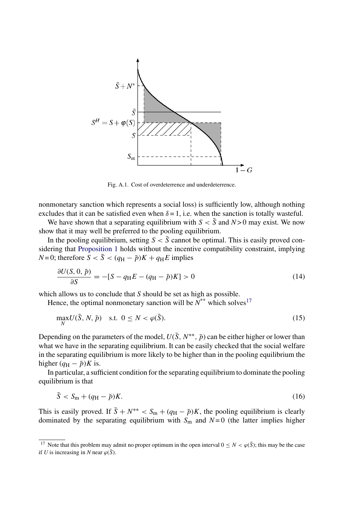

Fig. A.1. Cost of overdeterrence and underdeterrence.

nonmonetary sanction which represents a social loss) is sufficiently low, although nothing excludes that it can be satisfied even when  $\delta = 1$ , i.e. when the sanction is totally wasteful.

We have shown that a separating equilibrium with  $S < \overline{S}$  and  $N > 0$  may exist. We now show that it may well be preferred to the pooling equilibrium.

In the pooling equilibrium, setting  $S < \overline{S}$  cannot be optimal. This is easily proved considering that Proposition 1 holds without the incentive compatibility constraint, implying *N* = 0; therefore  $\overline{S} < \overline{S} < (q_H - \overline{p})K + q_H E$  implies

$$
\frac{\partial U(S, 0, \tilde{p})}{\partial S} = -[S - q_H E - (q_H - \tilde{p})K] > 0
$$
\n(14)

which allows us to conclude that *S* should be set as high as possible.

Hence, the optimal nonmonetary sanction will be  $N^*$  which solves<sup>17</sup>

$$
\max_{N} U(\bar{S}, N, \tilde{p}) \quad \text{s.t. } 0 \le N < \varphi(\bar{S}).\tag{15}
$$

Depending on the parameters of the model,  $U(\bar{S}, N^{**}, \tilde{p})$  can be either higher or lower than what we have in the separating equilibrium. It can be easily checked that the social welfare in the separating equilibrium is more likely to be higher than in the pooling equilibrium the higher  $(q_H - \tilde{p})K$  is.

In particular, a sufficient condition for the separating equilibrium to dominate the pooling equilibrium is that

$$
\bar{S} < S_{\rm m} + (q_{\rm H} - \tilde{p})K. \tag{16}
$$

This is easily proved. If  $\bar{S} + N^{**} < S_m + (q_H - \tilde{p})K$ , the pooling equilibrium is clearly dominated by the separating equilibrium with  $S_m$  and  $N=0$  (the latter implies higher

<sup>&</sup>lt;sup>17</sup> Note that this problem may admit no proper optimum in the open interval  $0 \le N < \varphi(\bar{S})$ ; this may be the case if *U* is increasing in *N* near  $\varphi(\bar{S})$ .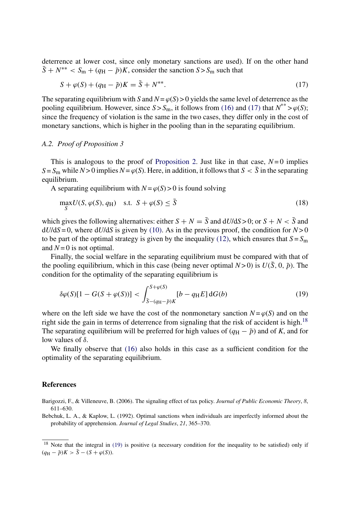deterrence at lower cost, since only monetary sanctions are used). If on the other hand  $\bar{S} + N^{**} < S_m + (q_H - \tilde{p})K$ , consider the sanction  $S > S_m$  such that

$$
S + \varphi(S) + (q_H - \tilde{p})K = \tilde{S} + N^{**}.
$$
\n(17)

The separating equilibrium with *S* and  $N = \varphi(S) > 0$  yields the same level of deterrence as the pooling equilibrium. However, since  $S > S_m$ , it follows from (16) and (17) that  $N^{**} > \varphi(S)$ ; since the frequency of violation is the same in the two cases, they differ only in the cost of monetary sanctions, which is higher in the pooling than in the separating equilibrium.

# *A.2. Proof of Proposition 3*

This is analogous to the proof of Proposition 2. Just like in that case,  $N=0$  implies  $S = S_m$  while  $N > 0$  implies  $N = \varphi(S)$ . Here, in addition, it follows that  $S < \overline{S}$  in the separating equilibrium.

A separating equilibrium with  $N = \varphi(S) > 0$  is found solving

$$
\max_{S} U(S, \varphi(S), q_{\rm H}) \quad \text{s.t.} \quad S + \varphi(S) \le \bar{S} \tag{18}
$$

which gives the following alternatives: either  $S + N = \overline{S}$  and  $dU/dS > 0$ ; or  $S + N < \overline{S}$  and  $dU/dS = 0$ , where  $dU/dS$  is given by (10). As in the previous proof, the condition for  $N > 0$ to be part of the optimal strategy is given by the inequality (12), which ensures that  $S = S<sub>m</sub>$ and  $N = 0$  is not optimal.

Finally, the social welfare in the separating equilibrium must be compared with that of the pooling equilibrium, which in this case (being never optimal  $N > 0$ ) is  $U(\bar{S}, 0, \tilde{p})$ . The condition for the optimality of the separating equilibrium is

$$
\delta \varphi(S)[1 - G(S + \varphi(S))] < \int_{\bar{S} - (q_H - \bar{p})K}^{S + \varphi(S)} [b - q_H E] \, \mathrm{d}G(b) \tag{19}
$$

where on the left side we have the cost of the nonmonetary sanction  $N = \varphi(S)$  and on the right side the gain in terms of deterrence from signaling that the risk of accident is high.<sup>18</sup> The separating equilibrium will be preferred for high values of  $(q_H - \tilde{p})$  and of *K*, and for low values of  $\delta$ .

We finally observe that (16) also holds in this case as a sufficient condition for the optimality of the separating equilibrium.

## **References**

Bebchuk, L. A., & Kaplow, L. (1992). Optimal sanctions when individuals are imperfectly informed about the probability of apprehension. *Journal of Legal Studies*, *21*, 365–370.

Barigozzi, F., & Villeneuve, B. (2006). The signaling effect of tax policy. *Journal of Public Economic Theory*, *8*, 611–630.

<sup>&</sup>lt;sup>18</sup> Note that the integral in (19) is positive (a necessary condition for the inequality to be satisfied) only if  $(q_H - \tilde{p})K > \overline{S} - (S + \varphi(S)).$